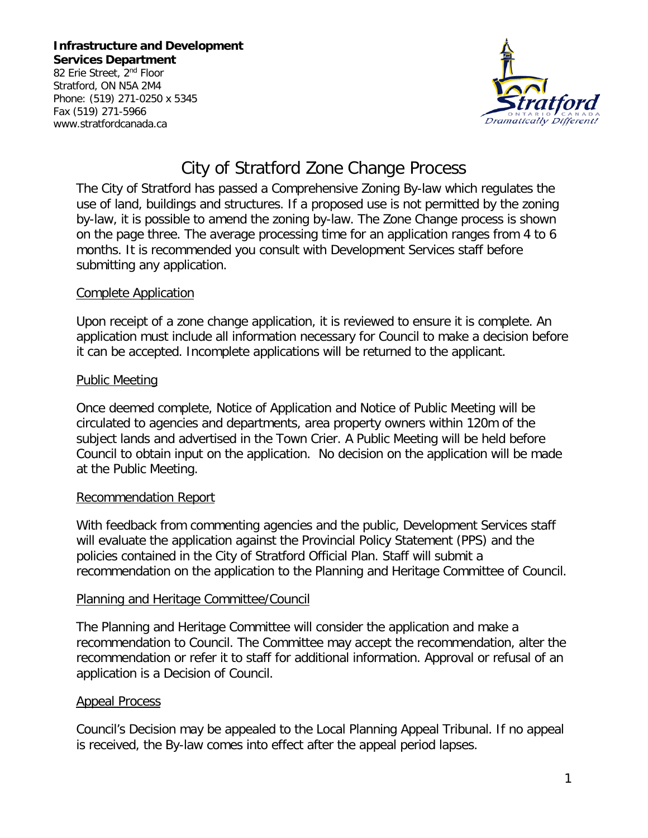**Infrastructure and Development Services Department** 82 Erie Street, 2<sup>nd</sup> Floor

Stratford, ON N5A 2M4 Phone: (519) 271-0250 x 5345 Fax (519) 271-5966 www.stratfordcanada.ca



# City of Stratford Zone Change Process

The City of Stratford has passed a Comprehensive Zoning By-law which regulates the use of land, buildings and structures. If a proposed use is not permitted by the zoning by-law, it is possible to amend the zoning by-law. The Zone Change process is shown on the page three. The average processing time for an application ranges from 4 to 6 months. It is recommended you consult with Development Services staff before submitting any application.

### Complete Application

Upon receipt of a zone change application, it is reviewed to ensure it is complete. An application must include all information necessary for Council to make a decision before it can be accepted. Incomplete applications will be returned to the applicant.

## Public Meeting

Once deemed complete, Notice of Application and Notice of Public Meeting will be circulated to agencies and departments, area property owners within 120m of the subject lands and advertised in the Town Crier. A Public Meeting will be held before Council to obtain input on the application. No decision on the application will be made at the Public Meeting.

## Recommendation Report

With feedback from commenting agencies and the public, Development Services staff will evaluate the application against the Provincial Policy Statement (PPS) and the policies contained in the City of Stratford Official Plan. Staff will submit a recommendation on the application to the Planning and Heritage Committee of Council.

#### Planning and Heritage Committee/Council

The Planning and Heritage Committee will consider the application and make a recommendation to Council. The Committee may accept the recommendation, alter the recommendation or refer it to staff for additional information. Approval or refusal of an application is a Decision of Council.

#### Appeal Process

Council's Decision may be appealed to the Local Planning Appeal Tribunal. If no appeal is received, the By-law comes into effect after the appeal period lapses.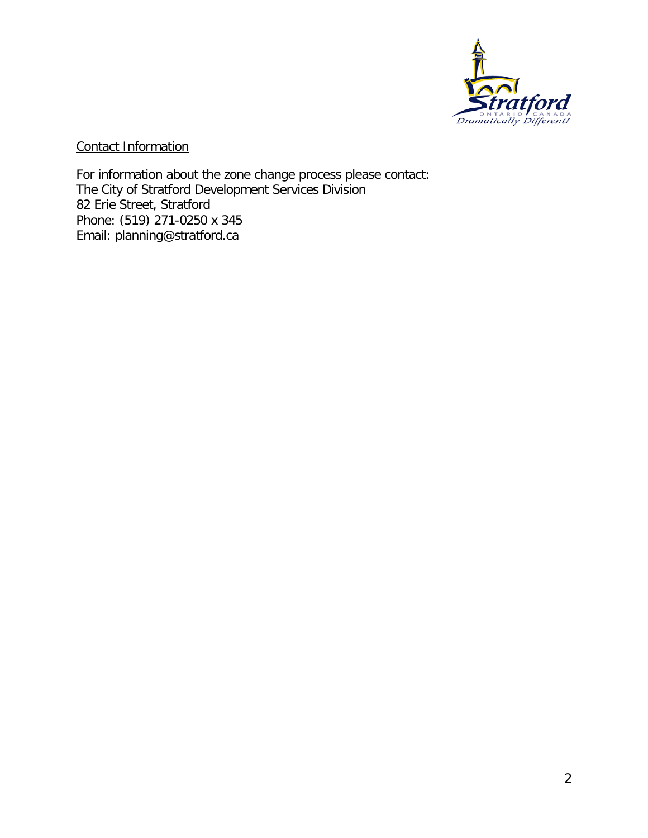

Contact Information

For information about the zone change process please contact: The City of Stratford Development Services Division 82 Erie Street, Stratford Phone: (519) 271-0250 x 345 Email: planning@stratford.ca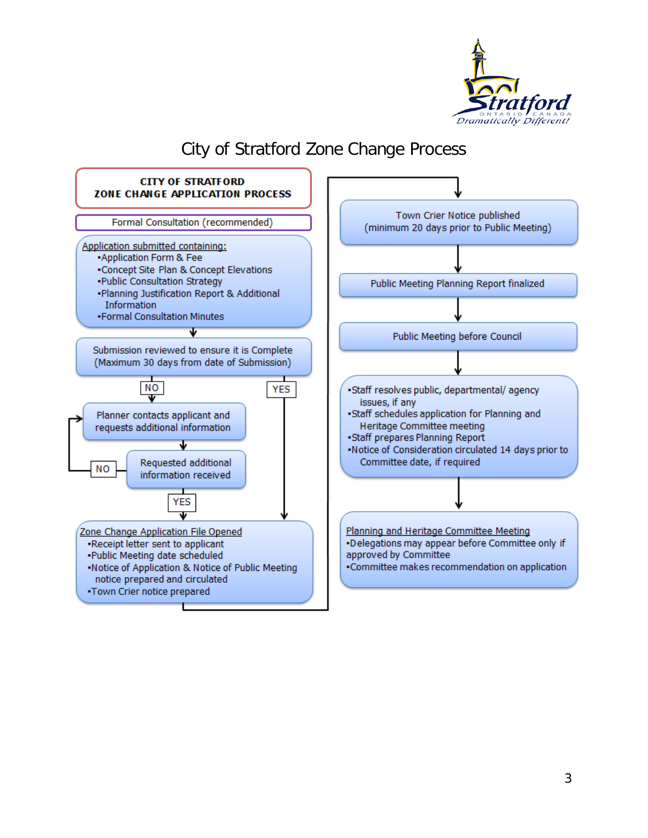

## City of Stratford Zone Change Process